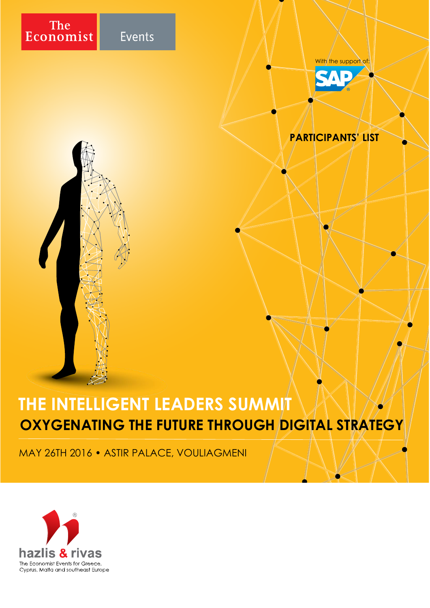

Events

With the support of



## **PARTICIPANTS' LIST**

## **THE INTELLIGENT LEADERS SUMMIT OXYGENATING THE FUTURE THROUGH DIGITAL STRATEGY**

MAY 26TH 2016 • ASTIR PALACE, VOULIAGMENI

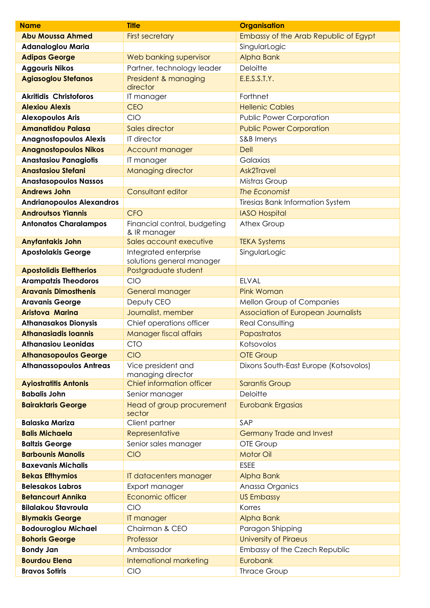| <b>Name</b>                      | <b>Title</b>                                       | <b>Organisation</b>                        |
|----------------------------------|----------------------------------------------------|--------------------------------------------|
| <b>Abu Moussa Ahmed</b>          | <b>First secretary</b>                             | Embassy of the Arab Republic of Egypt      |
| <b>Adanaloglou Maria</b>         |                                                    | SingularLogic                              |
| <b>Adipas George</b>             | Web banking supervisor                             | <b>Alpha Bank</b>                          |
| <b>Aggouris Nikos</b>            | Partner, technology leader                         | Deloitte                                   |
| <b>Agiasoglou Stefanos</b>       | President & managing<br>director                   | E.E.S.S.T.Y.                               |
| <b>Akritidis Christoforos</b>    | IT manager                                         | Forthnet                                   |
| <b>Alexiou Alexis</b>            | <b>CEO</b>                                         | <b>Hellenic Cables</b>                     |
| <b>Alexopoulos Aris</b>          | <b>CIO</b>                                         | <b>Public Power Corporation</b>            |
| <b>Amanatidou Palasa</b>         | Sales director                                     | <b>Public Power Corporation</b>            |
| <b>Anagnostopoulos Alexis</b>    | IT director                                        | S&B Imerys                                 |
| <b>Anagnostopoulos Nikos</b>     | Account manager                                    | <b>Dell</b>                                |
| <b>Anastasiou Panagiotis</b>     | IT manager                                         | Galaxias                                   |
| <b>Anastasiou Stefani</b>        | Managing director                                  | <b>Ask2Travel</b>                          |
| <b>Anastasopoulos Nassos</b>     |                                                    | Mistras Group                              |
| <b>Andrews John</b>              | Consultant editor                                  | The Economist                              |
| <b>Andrianopoulos Alexandros</b> |                                                    | <b>Tiresias Bank Information System</b>    |
| <b>Androutsos Yiannis</b>        | <b>CFO</b>                                         | <b>IASO Hospital</b>                       |
| <b>Antonatos Charalampos</b>     | Financial control, budgeting<br>& IR manager       | Athex Group                                |
| <b>Anyfantakis John</b>          | Sales account executive                            | <b>TEKA Systems</b>                        |
| <b>Apostolakis George</b>        | Integrated enterprise<br>solutions general manager | SingularLogic                              |
| <b>Apostolidis Eleftherios</b>   | Postgraduate student                               |                                            |
| <b>Arampatzis Theodoros</b>      | CIO                                                | <b>ELVAL</b>                               |
| <b>Aravanis Dimosthenis</b>      | General manager                                    | <b>Pink Woman</b>                          |
| <b>Aravanis George</b>           | Deputy CEO                                         | Mellon Group of Companies                  |
| <b>Aristova Marina</b>           | Journalist, member                                 | <b>Association of European Journalists</b> |
| <b>Athanasakos Dionysis</b>      | Chief operations officer                           | <b>Real Consulting</b>                     |
| <b>Athanasiadis Ioannis</b>      | <b>Manager fiscal affairs</b>                      | Papastratos                                |
| <b>Athanasiou Leonidas</b>       | CIO                                                | Kotsovolos                                 |
| <b>Athanasopoulos George</b>     | <b>CIO</b>                                         | <b>OTE Group</b>                           |
| <b>Athanassopoulos Antreas</b>   | Vice president and<br>managing director            | Dixons South-East Europe (Kotsovolos)      |
| <b>Ayiostratitis Antonis</b>     | Chief information officer                          | <b>Sarantis Group</b>                      |
| <b>Babalis John</b>              | Senior manager                                     | Deloitte                                   |
| <b>Bairaktaris George</b>        | Head of group procurement<br>sector                | <b>Eurobank Ergasias</b>                   |
| <b>Balaska Mariza</b>            | Client partner                                     | SAP                                        |
| <b>Balis Michaela</b>            | Representative                                     | <b>Germany Trade and Invest</b>            |
| <b>Baltzis George</b>            | Senior sales manager                               | OTE Group                                  |
| <b>Barbounis Manolis</b>         | <b>CIO</b>                                         | <b>Motor Oil</b>                           |
| <b>Baxevanis Michalis</b>        |                                                    | <b>ESEE</b>                                |
| <b>Bekas Efthymios</b>           | IT datacenters manager                             | <b>Alpha Bank</b>                          |
| <b>Belesakos Labros</b>          | Export manager                                     | Anassa Organics                            |
| <b>Betancourt Annika</b>         | Economic officer                                   | <b>US Embassy</b>                          |
| <b>Bilalakou Stavroula</b>       | <b>CIO</b>                                         | Korres                                     |
| <b>Blymakis George</b>           | IT manager                                         | Alpha Bank                                 |
| <b>Bodouroglou Michael</b>       | Chairman & CEO                                     | Paragon Shipping                           |
| <b>Bohoris George</b>            | Professor                                          | <b>University of Piraeus</b>               |
| <b>Bondy Jan</b>                 | Ambassador                                         | Embassy of the Czech Republic              |
| <b>Bourdou Elena</b>             | International marketing                            | Eurobank                                   |
| <b>Bravos Sotiris</b>            | CIO                                                | <b>Thrace Group</b>                        |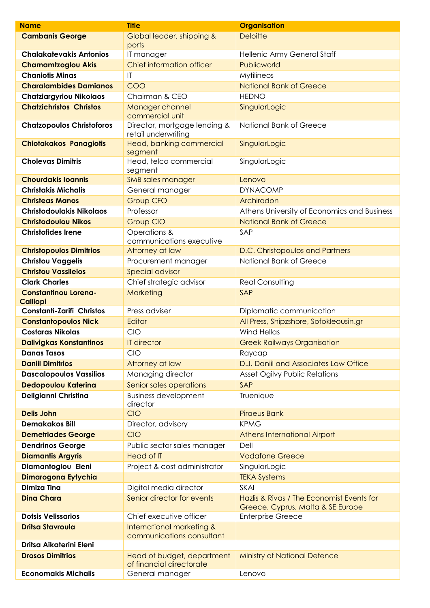| <b>Name</b>                      | <b>Title</b>                                           | <b>Organisation</b>                                                            |
|----------------------------------|--------------------------------------------------------|--------------------------------------------------------------------------------|
| <b>Cambanis George</b>           | Global leader, shipping &                              | <b>Deloitte</b>                                                                |
|                                  | ports                                                  |                                                                                |
| <b>Chalakatevakis Antonios</b>   | IT manager                                             | Hellenic Army General Staff                                                    |
| <b>Chamamtzoglou Akis</b>        | Chief information officer                              | Publicworld                                                                    |
| <b>Chaniotis Minas</b>           | $\mathsf{I}\mathsf{T}$                                 | Mytilineos                                                                     |
| <b>Charalambides Damianos</b>    | COO                                                    | <b>National Bank of Greece</b>                                                 |
| <b>Chatziargyriou Nikolaos</b>   | Chairman & CEO                                         | <b>HEDNO</b>                                                                   |
| <b>Chatzichristos Christos</b>   | Manager channel<br>commercial unit                     | SingularLogic                                                                  |
| <b>Chatzopoulos Christoforos</b> | Director, mortgage lending &<br>retail underwriting    | National Bank of Greece                                                        |
| <b>Chiotakakos Panagiotis</b>    | Head, banking commercial<br>segment                    | SingularLogic                                                                  |
| <b>Cholevas Dimitris</b>         | Head, telco commercial<br>segment                      | SingularLogic                                                                  |
| <b>Chourdakis Ioannis</b>        | <b>SMB</b> sales manager                               | Lenovo                                                                         |
| <b>Christakis Michalis</b>       | General manager                                        | <b>DYNACOMP</b>                                                                |
| <b>Christeas Manos</b>           | <b>Group CFO</b>                                       | Archirodon                                                                     |
| <b>Christodoulakis Nikolaos</b>  | Professor                                              | Athens University of Economics and Business                                    |
| <b>Christodoulou Nikos</b>       | <b>Group CIO</b>                                       | <b>National Bank of Greece</b>                                                 |
| <b>Christofides Irene</b>        | Operations &<br>communications executive               | SAP                                                                            |
| <b>Christopoulos Dimitrios</b>   | Attorney at law                                        | D.C. Christopoulos and Partners                                                |
| <b>Christou Vaggelis</b>         | Procurement manager                                    | National Bank of Greece                                                        |
| <b>Christou Vassileios</b>       | <b>Special advisor</b>                                 |                                                                                |
| <b>Clark Charles</b>             | Chief strategic advisor                                | <b>Real Consulting</b>                                                         |
| <b>Constantinou Lorena-</b>      | Marketing                                              | <b>SAP</b>                                                                     |
| <b>Calliopi</b>                  |                                                        |                                                                                |
| <b>Constanti-Zarifi Christos</b> | Press adviser                                          | Diplomatic communication                                                       |
| <b>Constantopoulos Nick</b>      | Editor                                                 | All Press, Shipzshore, Sofokleousin.gr                                         |
| <b>Costaras Nikolas</b>          | <b>CIO</b>                                             | <b>Wind Hellas</b>                                                             |
| <b>Dalivigkas Konstantinos</b>   | <b>IT director</b>                                     | <b>Greek Railways Organisation</b>                                             |
| <b>Danas Tasos</b>               | <b>CIO</b>                                             | Raycap                                                                         |
| <b>Daniil Dimitrios</b>          | Attorney at law                                        | D.J. Daniil and Associates Law Office                                          |
| <b>Dascalopoulos Vassilios</b>   | Managing director                                      | <b>Asset Ogilvy Public Relations</b>                                           |
| <b>Dedopoulou Katerina</b>       | Senior sales operations                                | SAP                                                                            |
| Deligianni Christina             | <b>Business development</b><br>director                | Truenique                                                                      |
| <b>Delis John</b>                | CIO                                                    | <b>Piraeus Bank</b>                                                            |
| <b>Demakakos Bill</b>            | Director, advisory                                     | <b>KPMG</b>                                                                    |
| <b>Demetriades George</b>        | <b>CIO</b>                                             | Athens International Airport                                                   |
| <b>Dendrinos George</b>          | Public sector sales manager                            | Dell                                                                           |
| <b>Diamantis Argyris</b>         | Head of IT                                             | <b>Vodafone Greece</b>                                                         |
| Diamantoglou Eleni               | Project & cost administrator                           | SingularLogic                                                                  |
| Dimarogona Eytychia              |                                                        | <b>TEKA Systems</b>                                                            |
| <b>Dimiza Tina</b>               | Digital media director                                 | SKAI                                                                           |
| <b>Dina Chara</b>                | Senior director for events                             | Hazlis & Rivas / The Economist Events for<br>Greece, Cyprus, Malta & SE Europe |
| <b>Dotsis Velissarios</b>        | Chief executive officer                                | <b>Enterprise Greece</b>                                                       |
| <b>Dritsa Stavroula</b>          | International marketing &<br>communications consultant |                                                                                |
| Dritsa Aikaterini Eleni          |                                                        |                                                                                |
| <b>Drosos Dimitrios</b>          | Head of budget, department<br>of financial directorate | <b>Ministry of National Defence</b>                                            |
| <b>Economakis Michalis</b>       | General manager                                        | Lenovo                                                                         |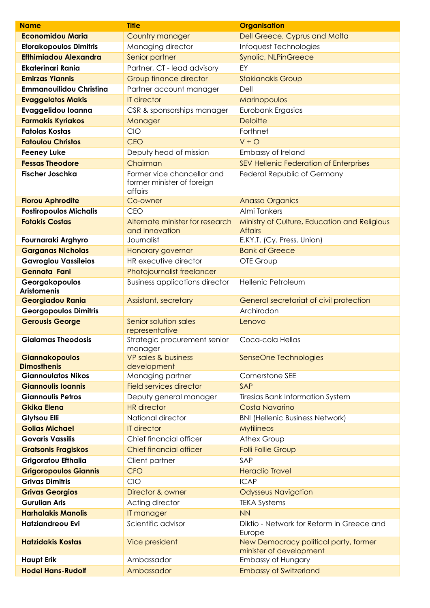| <b>Name</b>                                 | <b>Title</b>                                                        | <b>Organisation</b>                                              |
|---------------------------------------------|---------------------------------------------------------------------|------------------------------------------------------------------|
| <b>Economidou Maria</b>                     | Country manager                                                     | Dell Greece, Cyprus and Malta                                    |
| <b>Eforakopoulos Dimitris</b>               | Managing director                                                   | Infoquest Technologies                                           |
| <b>Efthimiadou Alexandra</b>                | Senior partner                                                      | Synolic, NLPinGreece                                             |
| <b>Ekaterinari Rania</b>                    | Partner, CT - lead advisory                                         | EY                                                               |
| <b>Emirzas Yiannis</b>                      | Group finance director                                              | <b>Sfakianakis Group</b>                                         |
| <b>Emmanouilidou Christina</b>              | Partner account manager                                             | Dell                                                             |
| <b>Evaggelatos Makis</b>                    | <b>IT director</b>                                                  | Marinopoulos                                                     |
| Evaggelidou Ioanna                          | CSR & sponsorships manager                                          | Eurobank Ergasias                                                |
| <b>Farmakis Kyriakos</b>                    | Manager                                                             | <b>Deloitte</b>                                                  |
| <b>Fatolas Kostas</b>                       | <b>CIO</b>                                                          | Forthnet                                                         |
| <b>Fatoulou Christos</b>                    | <b>CEO</b>                                                          | $V + O$                                                          |
| <b>Feeney Luke</b>                          | Deputy head of mission                                              | Embassy of Ireland                                               |
| <b>Fessas Theodore</b>                      | Chairman                                                            | SEV Hellenic Federation of Enterprises                           |
| <b>Fischer Joschka</b>                      | Former vice chancellor and<br>former minister of foreign<br>affairs | Federal Republic of Germany                                      |
| <b>Florou Aphrodite</b>                     | Co-owner                                                            | <b>Anassa Organics</b>                                           |
| <b>Fostiropoulos Michalis</b>               | <b>CEO</b>                                                          | Almi Tankers                                                     |
| <b>Fotakis Costas</b>                       | Alternate minister for research<br>and innovation                   | Ministry of Culture, Education and Religious<br><b>Affairs</b>   |
| Fournaraki Arghyro                          | Journalist                                                          | E.KY.T. (Cy. Press. Union)                                       |
| <b>Garganas Nicholas</b>                    | Honorary governor                                                   | <b>Bank of Greece</b>                                            |
| <b>Gavroglou Vassileios</b>                 | HR executive director                                               | OTE Group                                                        |
| <b>Gennata Fani</b>                         | Photojournalist freelancer                                          |                                                                  |
| Georgakopoulos<br><b>Aristomenis</b>        | <b>Business applications director</b>                               | Hellenic Petroleum                                               |
| <b>Georgiadou Rania</b>                     | Assistant, secretary                                                | General secretariat of civil protection                          |
| <b>Georgopoulos Dimitris</b>                |                                                                     | Archirodon                                                       |
| <b>Gerousis George</b>                      | Senior solution sales<br>representative                             | Lenovo                                                           |
| <b>Gialamas Theodosis</b>                   | Strategic procurement senior<br>manager                             | Coca-cola Hellas                                                 |
| <b>Giannakopoulos</b><br><b>Dimosthenis</b> | VP sales & business<br>development                                  | SenseOne Technologies                                            |
| <b>Giannoulatos Nikos</b>                   | Managing partner                                                    | Cornerstone SEE                                                  |
| <b>Giannoulis Ioannis</b>                   | <b>Field services director</b>                                      | SAP                                                              |
| <b>Giannoulis Petros</b>                    | Deputy general manager                                              | <b>Tiresias Bank Information System</b>                          |
| <b>Gkika Elena</b>                          | <b>HR</b> director                                                  | Costa Navarino                                                   |
| <b>Glytsou Elli</b>                         | National director                                                   | <b>BNI (Hellenic Business Network)</b>                           |
| <b>Golias Michael</b>                       | <b>IT director</b>                                                  | <b>Mytilineos</b>                                                |
| <b>Govaris Vassilis</b>                     | Chief financial officer                                             | Athex Group                                                      |
| <b>Gratsonis Fragiskos</b>                  | <b>Chief financial officer</b>                                      | <b>Folli Follie Group</b>                                        |
| Grigoratou Efthalia                         | Client partner                                                      | SAP                                                              |
| <b>Grigoropoulos Giannis</b>                | <b>CFO</b>                                                          | <b>Heraclio Travel</b>                                           |
| <b>Grivas Dimitris</b>                      | CIO                                                                 | <b>ICAP</b>                                                      |
| <b>Grivas Georgios</b>                      | Director & owner                                                    | <b>Odysseus Navigation</b>                                       |
| <b>Gurulian Aris</b>                        | Acting director                                                     | <b>TEKA Systems</b>                                              |
| <b>Harhalakis Manolis</b>                   | IT manager                                                          | <b>NN</b>                                                        |
| <b>Hatziandreou Evi</b>                     | Scientific advisor                                                  | Diktio - Network for Reform in Greece and<br>Europe              |
| <b>Hatzidakis Kostas</b>                    | Vice president                                                      | New Democracy political party, former<br>minister of development |
| <b>Haupt Erik</b>                           | Ambassador                                                          | Embassy of Hungary                                               |
| <b>Hodel Hans-Rudolf</b>                    | Ambassador                                                          | <b>Embassy of Switzerland</b>                                    |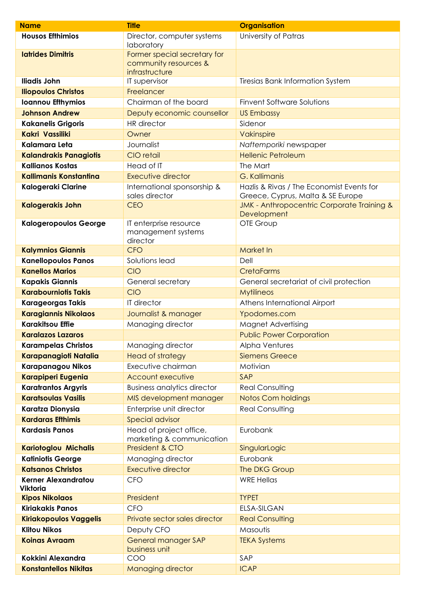| <b>Name</b>                                          | <b>Title</b>                                             | <b>Organisation</b>                                                            |
|------------------------------------------------------|----------------------------------------------------------|--------------------------------------------------------------------------------|
| <b>Housos Effhimios</b>                              | Director, computer systems<br>laboratory                 | University of Patras                                                           |
| <b>Iatrides Dimitris</b>                             | Former special secretary for<br>community resources &    |                                                                                |
|                                                      | infrastructure                                           |                                                                                |
| <b>Iliadis John</b>                                  | IT supervisor                                            | <b>Tiresias Bank Information System</b>                                        |
| <b>Iliopoulos Christos</b>                           | Freelancer                                               |                                                                                |
| <b>Ioannou Efthymios</b>                             | Chairman of the board                                    | <b>Finvent Software Solutions</b>                                              |
| <b>Johnson Andrew</b>                                | Deputy economic counsellor                               | <b>US Embassy</b>                                                              |
| <b>Kakanelis Grigoris</b>                            | <b>HR</b> director                                       | Sidenor                                                                        |
| Kakri Vassiliki                                      | Owner                                                    | Vakinspire                                                                     |
| Kalamara Leta                                        | Journalist                                               | Naftemporiki newspaper                                                         |
| <b>Kalandrakis Panagiotis</b>                        | CIO retail                                               | <b>Hellenic Petroleum</b>                                                      |
| <b>Kallianos Kostas</b>                              | Head of IT                                               | The Mart                                                                       |
| <b>Kallimanis Konstantina</b>                        | Executive director                                       | G. Kallimanis                                                                  |
| <b>Kalogeraki Clarine</b>                            | International sponsorship &<br>sales director            | Hazlis & Rivas / The Economist Events for<br>Greece, Cyprus, Malta & SE Europe |
| <b>Kalogerakis John</b>                              | <b>CEO</b>                                               | JMK - Anthropocentric Corporate Training &<br>Development                      |
| <b>Kalogeropoulos George</b>                         | IT enterprise resource<br>management systems<br>director | OTE Group                                                                      |
| <b>Kalymnios Giannis</b>                             | <b>CFO</b>                                               | <b>Market In</b>                                                               |
| <b>Kanellopoulos Panos</b>                           | Solutions lead                                           | Dell                                                                           |
| <b>Kanellos Marios</b>                               | <b>CIO</b>                                               | <b>CretaFarms</b>                                                              |
| <b>Kapakis Giannis</b>                               | General secretary                                        | General secretariat of civil protection                                        |
| <b>Karabourniotis Takis</b>                          | <b>CIO</b>                                               | <b>Mytilineos</b>                                                              |
| <b>Karageorgas Takis</b>                             | IT director                                              | Athens International Airport                                                   |
| <b>Karagiannis Nikolaos</b>                          | Journalist & manager                                     | Ypodomes.com                                                                   |
| <b>Karakitsou Effie</b>                              | Managing director                                        | Magnet Advertising                                                             |
| <b>Karalazos Lazaros</b>                             |                                                          | <b>Public Power Corporation</b>                                                |
| <b>Karampelas Christos</b>                           | Managing director                                        | Alpha Ventures                                                                 |
| Karapanagioti Natalia                                | <b>Head of strategy</b>                                  | <b>Siemens Greece</b>                                                          |
| <b>Karapanagou Nikos</b>                             | Executive chairman                                       | Motivian                                                                       |
| <b>Karapiperi Eugenia</b>                            | <b>Account executive</b>                                 | SAP                                                                            |
| <b>Karatrantos Argyris</b>                           | <b>Business analytics director</b>                       | <b>Real Consulting</b>                                                         |
| <b>Karatsoulas Vasilis</b>                           | MIS development manager                                  | <b>Notos Com holdings</b>                                                      |
| Karatza Dionysia                                     | Enterprise unit director                                 | <b>Real Consulting</b>                                                         |
| <b>Kardaras Efthimis</b>                             | <b>Special advisor</b>                                   |                                                                                |
| <b>Kardasis Panos</b>                                | Head of project office,<br>marketing & communication     | Eurobank                                                                       |
| <b>Kariotoglou Michalis</b>                          | President & CTO                                          | SingularLogic                                                                  |
| <b>Katiniotis George</b>                             | Managing director                                        | Eurobank                                                                       |
| <b>Katsanos Christos</b>                             | <b>Executive director</b>                                | The DKG Group                                                                  |
| <b>Kerner Alexandratou</b>                           | <b>CFO</b>                                               | <b>WRE Hellas</b>                                                              |
| <b>Viktoria</b>                                      |                                                          |                                                                                |
| <b>Kipos Nikolaos</b><br><b>Kiriakakis Panos</b>     | President<br><b>CFO</b>                                  | <b>TYPET</b><br><b>ELSA-SILGAN</b>                                             |
|                                                      |                                                          |                                                                                |
| <b>Kiriakopoulos Vaggelis</b><br><b>Klitou Nikos</b> | Private sector sales director<br>Deputy CFO              | <b>Real Consulting</b><br>Masoutis                                             |
| <b>Koinas Avraam</b>                                 | <b>General manager SAP</b>                               | <b>TEKA Systems</b>                                                            |
|                                                      | business unit                                            |                                                                                |
| Kokkini Alexandra                                    | COO                                                      | SAP                                                                            |
| <b>Konstantellos Nikitas</b>                         | Managing director                                        | <b>ICAP</b>                                                                    |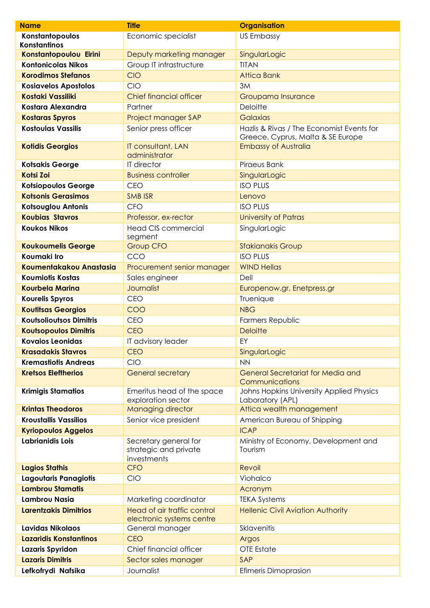| <b>Name</b>                    | <b>Title</b>                                                  | <b>Organisation</b>                                                            |
|--------------------------------|---------------------------------------------------------------|--------------------------------------------------------------------------------|
| Konstantopoulos                | Economic specialist                                           | <b>US Embassy</b>                                                              |
| <b>Konstantinos</b>            |                                                               |                                                                                |
| Konstantopoulou Eirini         | Deputy marketing manager                                      | SingularLogic                                                                  |
| <b>Kontonicolas Nikos</b>      | Group IT infrastructure                                       | <b>TITAN</b>                                                                   |
| <b>Korodimos Stefanos</b>      | <b>CIO</b>                                                    | <b>Attica Bank</b>                                                             |
| <b>Kosiavelos Apostolos</b>    | <b>CIO</b>                                                    | 3M                                                                             |
| <b>Kostaki Vassiliki</b>       | <b>Chief financial officer</b>                                | Groupama Insurance                                                             |
| Kostara Alexandra              | Partner                                                       | Deloitte                                                                       |
| <b>Kostaras Spyros</b>         | Project manager SAP                                           | Galaxias                                                                       |
| <b>Kostoulas Vassilis</b>      | Senior press officer                                          | Hazlis & Rivas / The Economist Events for<br>Greece, Cyprus, Malta & SE Europe |
| <b>Kotidis Georgios</b>        | IT consultant, LAN<br>administrator                           | <b>Embassy of Australia</b>                                                    |
| <b>Kotsakis George</b>         | IT director                                                   | Piraeus Bank                                                                   |
| <b>Kotsi Zoi</b>               | <b>Business controller</b>                                    | SingularLogic                                                                  |
| <b>Kotsiopoulos George</b>     | <b>CEO</b>                                                    | <b>ISO PLUS</b>                                                                |
| <b>Kotsonis Gerasimos</b>      | <b>SMB ISR</b>                                                | Lenovo                                                                         |
| Kotsouglou Antonis             | <b>CFO</b>                                                    | <b>ISO PLUS</b>                                                                |
| <b>Koubias Stavros</b>         | Professor, ex-rector                                          | <b>University of Patras</b>                                                    |
| <b>Koukos Nikos</b>            | <b>Head CIS commercial</b><br>segment                         | SingularLogic                                                                  |
| <b>Koukoumelis George</b>      | <b>Group CFO</b>                                              | <b>Sfakianakis Group</b>                                                       |
| Koumaki Iro                    | CCO                                                           | <b>ISO PLUS</b>                                                                |
| Koumentakakou Anastasia        | Procurement senior manager                                    | <b>WIND Hellas</b>                                                             |
| <b>Koumiotis Kostas</b>        | Sales engineer                                                | Dell                                                                           |
| <b>Kourbela Marina</b>         | <b>Journalist</b>                                             | Europenow.gr, Enetpress.gr                                                     |
| <b>Kourelis Spyros</b>         | <b>CEO</b>                                                    | Truenique                                                                      |
| <b>Koutitsas Georgios</b>      | COO                                                           | <b>NBG</b>                                                                     |
| <b>Koutsolioutsos Dimitris</b> | <b>CEO</b>                                                    | Farmers Republic                                                               |
| <b>Koutsopoulos Dimitris</b>   | <b>CEO</b>                                                    | <b>Deloitte</b>                                                                |
| Kovaios Leonidas               | IT advisory leader                                            | EY                                                                             |
| <b>Krasadakis Stavros</b>      | <b>CEO</b>                                                    | SingularLogic                                                                  |
| <b>Kremastiotis Andreas</b>    | <b>CIO</b>                                                    | <b>NN</b>                                                                      |
| <b>Kretsos Eleftherios</b>     | <b>General secretary</b>                                      | <b>General Secretariat for Media and</b><br>Communications                     |
| <b>Krimigis Stamatios</b>      | Emeritus head of the space<br>exploration sector              | Johns Hopkins University Applied Physics<br>Laboratory (APL)                   |
| <b>Krintas Theodoros</b>       | <b>Managing director</b>                                      | Attica wealth management                                                       |
| <b>Kroustallis Vassilios</b>   | Senior vice president                                         | American Bureau of Shipping                                                    |
| <b>Kyriopoulos Aggelos</b>     |                                                               | <b>ICAP</b>                                                                    |
| Labrianidis Lois               | Secretary general for<br>strategic and private<br>investments | Ministry of Economy, Development and<br>Tourism                                |
| <b>Lagios Stathis</b>          | <b>CFO</b>                                                    | Revoil                                                                         |
| Lagoutaris Panagiotis          | CIO                                                           | Viohalco                                                                       |
| <b>Lambrou Stamatis</b>        |                                                               | Acronym                                                                        |
| <b>Lambrou Nasia</b>           | Marketing coordinator                                         | <b>TEKA Systems</b>                                                            |
| <b>Larentzakis Dimitrios</b>   | Head of air traffic control                                   | <b>Hellenic Civil Aviation Authority</b>                                       |
|                                | electronic systems centre                                     |                                                                                |
| Lavidas Nikolaos               | General manager                                               | Sklavenitis                                                                    |
| Lazaridis Konstantinos         | <b>CEO</b>                                                    | Argos                                                                          |
| Lazaris Spyridon               | Chief financial officer                                       | OTE Estate                                                                     |
| <b>Lazaris Dimitris</b>        | Sector sales manager                                          | SAP                                                                            |
| Lefkofrydi Nafsika             | Journalist                                                    | <b>Efimeris Dimoprasion</b>                                                    |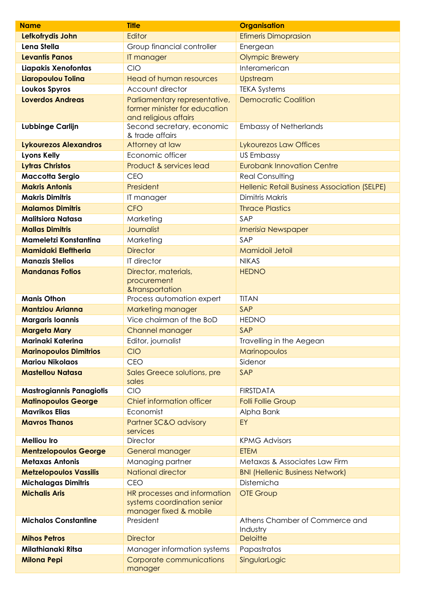| <b>Name</b>                                                   | <b>Title</b>                                                                          | <b>Organisation</b>                          |
|---------------------------------------------------------------|---------------------------------------------------------------------------------------|----------------------------------------------|
| Lefkofrydis John                                              | Editor                                                                                | <b>Efimeris Dimoprasion</b>                  |
| Lena Stella                                                   | Group financial controller                                                            | Energean                                     |
| <b>Levantis Panos</b>                                         | IT manager                                                                            | <b>Olympic Brewery</b>                       |
| Liapakis Xenofontas                                           | CIO                                                                                   | Interamerican                                |
| Liaropoulou Tolina                                            | <b>Head of human resources</b>                                                        | Upstream                                     |
| Loukos Spyros                                                 | Account director                                                                      | <b>TEKA Systems</b>                          |
| <b>Loverdos Andreas</b>                                       | Parliamentary representative,<br>former minister for education                        | <b>Democratic Coalition</b>                  |
| Lubbinge Carlijn                                              | and religious affairs<br>Second secretary, economic<br>& trade affairs                | <b>Embassy of Netherlands</b>                |
| <b>Lykourezos Alexandros</b>                                  | Attorney at law                                                                       | Lykourezos Law Offices                       |
| <b>Lyons Kelly</b>                                            | Economic officer                                                                      | <b>US Embassy</b>                            |
| <b>Lytras Christos</b>                                        | Product & services lead                                                               | <b>Eurobank Innovation Centre</b>            |
| <b>Maccotta Sergio</b>                                        | <b>CEO</b>                                                                            | <b>Real Consulting</b>                       |
| <b>Makris Antonis</b>                                         | President                                                                             | Hellenic Retail Business Association (SELPE) |
| <b>Makris Dimitris</b>                                        | IT manager                                                                            | Dimitris Makris                              |
| <b>Malamos Dimitris</b>                                       | <b>CFO</b>                                                                            | <b>Thrace Plastics</b>                       |
| <b>Malitsiora Natasa</b>                                      | Marketing                                                                             | SAP                                          |
| <b>Mallas Dimitris</b>                                        | Journalist                                                                            | <b>Imerisia Newspaper</b>                    |
| Mameletzi Konstantina                                         | Marketing                                                                             | SAP                                          |
| <b>Mamidaki Eleftheria</b>                                    | <b>Director</b>                                                                       | <b>Mamidoil Jetoil</b>                       |
| <b>Manazis Stelios</b>                                        | IT director                                                                           | <b>NIKAS</b>                                 |
| <b>Mandanas Fotios</b>                                        | Director, materials,                                                                  | <b>HEDNO</b>                                 |
|                                                               | procurement                                                                           |                                              |
|                                                               | &transportation                                                                       |                                              |
| <b>Manis Othon</b>                                            | Process automation expert                                                             | <b>TITAN</b>                                 |
| <b>Mantziou Arianna</b>                                       | Marketing manager                                                                     | SAP                                          |
| <b>Margaris Ioannis</b>                                       | Vice chairman of the BoD                                                              | <b>HEDNO</b><br>SAP                          |
| <b>Margeta Mary</b>                                           | Channel manager                                                                       |                                              |
| Marinaki Katerina                                             | Editor, journalist                                                                    | Travelling in the Aegean                     |
| <b>Marinopoulos Dimitrios</b><br><b>Mariou Nikolaos</b>       | <b>CIO</b><br><b>CEO</b>                                                              | Marinopoulos<br>Sidenor                      |
| <b>Mastellou Natasa</b>                                       | Sales Greece solutions, pre                                                           | SAP                                          |
|                                                               | sales<br>CIO                                                                          | <b>FIRSTDATA</b>                             |
| <b>Mastrogiannis Panagiotis</b><br><b>Matinopoulos George</b> | Chief information officer                                                             |                                              |
| <b>Mavrikos Elias</b>                                         | Economist                                                                             | <b>Folli Follie Group</b><br>Alpha Bank      |
| <b>Mavros Thanos</b>                                          | <b>Partner SC&amp;O advisory</b>                                                      | EY                                           |
|                                                               | services                                                                              |                                              |
| <b>Melliou Iro</b>                                            | <b>Director</b>                                                                       | <b>KPMG Advisors</b>                         |
| <b>Mentzelopoulos George</b>                                  | General manager                                                                       | <b>ETEM</b>                                  |
| <b>Metaxas Antonis</b>                                        | Managing partner                                                                      | Metaxas & Associates Law Firm                |
| <b>Metzelopoulos Vassilis</b>                                 | <b>National director</b>                                                              | <b>BNI (Hellenic Business Network)</b>       |
| <b>Michalagas Dimitris</b>                                    | <b>CEO</b>                                                                            | Distemicha                                   |
| <b>Michalis Aris</b>                                          | HR processes and information<br>systems coordination senior<br>manager fixed & mobile | <b>OTE Group</b>                             |
| <b>Michalos Constantine</b>                                   | President                                                                             | Athens Chamber of Commerce and<br>Industry   |
| <b>Mihos Petros</b>                                           | <b>Director</b>                                                                       | <b>Deloitte</b>                              |
| Milathianaki Ritsa                                            | Manager information systems                                                           | Papastratos                                  |
| <b>Milona Pepi</b>                                            | Corporate communications<br>manager                                                   | SingularLogic                                |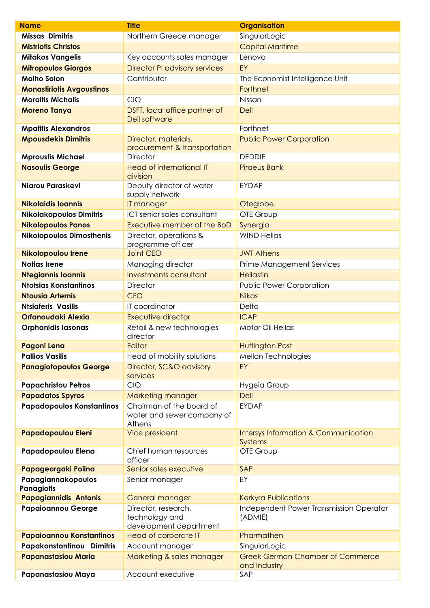| <b>Name</b>                      | <b>Title</b>                                                     | <b>Organisation</b>                                     |
|----------------------------------|------------------------------------------------------------------|---------------------------------------------------------|
| Missas Dimitris                  | Northern Greece manager                                          | SingularLogic                                           |
| <b>Mistriotis Christos</b>       |                                                                  | <b>Capital Maritime</b>                                 |
| <b>Mitakos Vangelis</b>          | Key accounts sales manager                                       | Lenovo                                                  |
| <b>Mitropoulos Giorgos</b>       | <b>Director PI advisory services</b>                             | EY                                                      |
| <b>Molho Solon</b>               | Contributor                                                      | The Economist Intelligence Unit                         |
| <b>Monastiriotis Avgoustinos</b> |                                                                  | Forthnet                                                |
| <b>Moraitis Michalis</b>         | <b>CIO</b>                                                       | Nissan                                                  |
| <b>Moreno Tanya</b>              | DSFT, local office partner of<br>Dell software                   | <b>Dell</b>                                             |
| <b>Mpafitis Alexandros</b>       |                                                                  | Forthnet                                                |
| <b>Mpousdekis Dimitris</b>       | Director, materials,<br>procurement & transportation             | <b>Public Power Corporation</b>                         |
| <b>Mproustis Michael</b>         | <b>Director</b>                                                  | <b>DEDDIE</b>                                           |
| <b>Nasoulis George</b>           | <b>Head of international IT</b><br>division                      | <b>Piraeus Bank</b>                                     |
| Niarou Paraskevi                 | Deputy director of water<br>supply network                       | <b>EYDAP</b>                                            |
| <b>Nikolaidis Ioannis</b>        | IT manager                                                       | Oteglobe                                                |
| <b>Nikolakopoulos Dimitris</b>   | ICT senior sales consultant                                      | OTE Group                                               |
| <b>Nikolopoulos Panos</b>        | Executive member of the BoD                                      | Synergia                                                |
| <b>Nikolopoulos Dimosthenis</b>  | Director, operations &<br>programme officer                      | <b>WIND Hellas</b>                                      |
| <b>Nikolopoulou Irene</b>        | <b>Joint CEO</b>                                                 | <b>JWT Athens</b>                                       |
| <b>Notias Irene</b>              | Managing director                                                | <b>Prime Management Services</b>                        |
| <b>Ntegiannis Ioannis</b>        | <b>Investments consultant</b>                                    | Hellasfin                                               |
| <b>Ntotsias Konstantinos</b>     | <b>Director</b>                                                  | <b>Public Power Corporation</b>                         |
| <b>Ntousia Artemis</b>           | <b>CFO</b>                                                       | <b>Nikas</b>                                            |
| <b>Ntsiaferis Vasilis</b>        | IT coordinator                                                   | Delta                                                   |
| Orfanoudaki Alexia               | <b>Executive director</b>                                        | <b>ICAP</b>                                             |
| <b>Orphanidis lasonas</b>        | Retail & new technologies<br>director                            | <b>Motor Oil Hellas</b>                                 |
| Pagoni Lena                      | Editor                                                           | <b>Huffington Post</b>                                  |
| <b>Pallios Vasilis</b>           | Head of mobility solutions                                       | Mellon Technologies                                     |
| <b>Panagiotopoulos George</b>    | Director, SC&O advisory<br>services                              | EY                                                      |
| <b>Papachristou Petros</b>       | <b>CIO</b>                                                       | Hygeia Group                                            |
| <b>Papadatos Spyros</b>          | Marketing manager                                                | <b>Dell</b>                                             |
| <b>Papadopoulos Konstantinos</b> | Chairman of the board of<br>water and sewer company of<br>Athens | <b>EYDAP</b>                                            |
| <b>Papadopoulou Eleni</b>        | Vice president                                                   | Intersys Information & Communication<br><b>Systems</b>  |
| Papadopoulou Elena               | Chief human resources<br>officer                                 | OTE Group                                               |
| Papageorgaki Polina              | Senior sales executive                                           | SAP                                                     |
| Papagiannakopoulos<br>Panagiotis | Senior manager                                                   | EY                                                      |
| <b>Papagiannidis Antonis</b>     | General manager                                                  | <b>Kerkyra Publications</b>                             |
| <b>Papaioannou George</b>        | Director, research,<br>technology and<br>development department  | Independent Power Transmission Operator<br>(ADMIE)      |
| <b>Papaioannou Konstantinos</b>  | Head of corporate IT                                             | Pharmathen                                              |
| Papakonstantinou Dimitris        | Account manager                                                  | SingularLogic                                           |
| <b>Papanastasiou Maria</b>       | Marketing & sales manager                                        | <b>Greek German Chamber of Commerce</b><br>and Industry |
| Papanastasiou Maya               | Account executive                                                | SAP                                                     |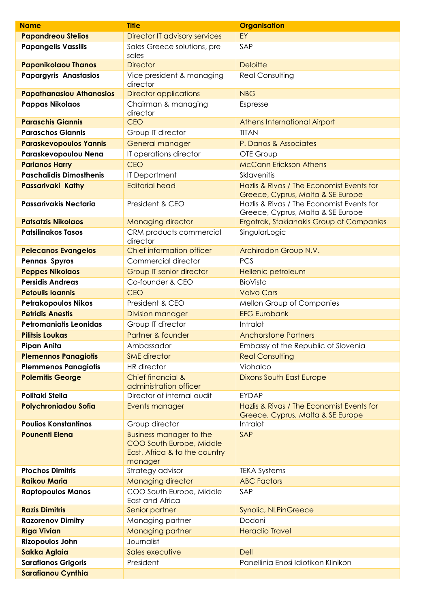| <b>Name</b>                     | <b>Title</b>                                                                                           | <b>Organisation</b>                                                            |
|---------------------------------|--------------------------------------------------------------------------------------------------------|--------------------------------------------------------------------------------|
| <b>Papandreou Stelios</b>       | Director IT advisory services                                                                          | EY                                                                             |
| <b>Papangelis Vassilis</b>      | Sales Greece solutions, pre<br>sales                                                                   | SAP                                                                            |
| <b>Papanikolaou Thanos</b>      | <b>Director</b>                                                                                        | <b>Deloitte</b>                                                                |
| <b>Papargyris Anastasios</b>    | Vice president & managing<br>director                                                                  | <b>Real Consulting</b>                                                         |
| <b>Papathanasiou Athanasios</b> | <b>Director applications</b>                                                                           | <b>NBG</b>                                                                     |
| <b>Pappas Nikolaos</b>          | Chairman & managing<br>director                                                                        | Espresse                                                                       |
| <b>Paraschis Giannis</b>        | <b>CEO</b>                                                                                             | Athens International Airport                                                   |
| <b>Paraschos Giannis</b>        | Group IT director                                                                                      | <b>TITAN</b>                                                                   |
| <b>Paraskevopoulos Yannis</b>   | <b>General manager</b>                                                                                 | P. Danos & Associates                                                          |
| Paraskevopoulou Nena            | IT operations director                                                                                 | OTE Group                                                                      |
| <b>Parianos Harry</b>           | <b>CEO</b>                                                                                             | <b>McCann Erickson Athens</b>                                                  |
| <b>Paschalidis Dimosthenis</b>  | <b>IT Department</b>                                                                                   | <b>Sklavenitis</b>                                                             |
| Passarivaki Kathy               | <b>Editorial head</b>                                                                                  | Hazlis & Rivas / The Economist Events for<br>Greece, Cyprus, Malta & SE Europe |
| Passarivakis Nectaria           | President & CEO                                                                                        | Hazlis & Rivas / The Economist Events for<br>Greece, Cyprus, Malta & SE Europe |
| <b>Patsatzis Nikolaos</b>       | Managing director                                                                                      | Ergotrak, Sfakianakis Group of Companies                                       |
| <b>Patsilinakos Tasos</b>       | CRM products commercial<br>director                                                                    | SingularLogic                                                                  |
| <b>Pelecanos Evangelos</b>      | Chief information officer                                                                              | Archirodon Group N.V.                                                          |
| Pennas Spyros                   | Commercial director                                                                                    | <b>PCS</b>                                                                     |
| <b>Peppes Nikolaos</b>          | Group IT senior director                                                                               | Hellenic petroleum                                                             |
| <b>Persidis Andreas</b>         | Co-founder & CEO                                                                                       | BioVista                                                                       |
| <b>Petoulis Ioannis</b>         | <b>CEO</b>                                                                                             | <b>Volvo Cars</b>                                                              |
| <b>Petrakopoulos Nikos</b>      | President & CEO                                                                                        | Mellon Group of Companies                                                      |
| <b>Petridis Anestis</b>         | Division manager                                                                                       | <b>EFG Eurobank</b>                                                            |
| <b>Petromaniatis Leonidas</b>   | Group IT director                                                                                      | Intralot                                                                       |
| <b>Pilitsis Loukas</b>          | Partner & founder                                                                                      | <b>Anchorstone Partners</b>                                                    |
| <b>Pipan Anita</b>              | Ambassador                                                                                             | Embassy of the Republic of Slovenia                                            |
| <b>Plemennos Panagiotis</b>     | <b>SME</b> director                                                                                    | <b>Real Consulting</b>                                                         |
| <b>Plemmenos Panagiotis</b>     | <b>HR</b> director                                                                                     | Viohalco                                                                       |
| <b>Polemitis George</b>         | <b>Chief financial &amp;</b><br>administration officer                                                 | <b>Dixons South East Europe</b>                                                |
| Politaki Stella                 | Director of internal audit                                                                             | <b>EYDAP</b>                                                                   |
| <b>Polychroniadou Sofia</b>     | Events manager                                                                                         | Hazlis & Rivas / The Economist Events for<br>Greece, Cyprus, Malta & SE Europe |
| <b>Poulios Konstantinos</b>     | Group director                                                                                         | Intralot                                                                       |
| <b>Pounenti Elena</b>           | <b>Business manager to the</b><br>COO South Europe, Middle<br>East, Africa & to the country<br>manager | SAP                                                                            |
| <b>Plochos Dimitris</b>         | Strategy advisor                                                                                       | <b>TEKA Systems</b>                                                            |
| <b>Raikou Maria</b>             | Managing director                                                                                      | <b>ABC Factors</b>                                                             |
| <b>Raptopoulos Manos</b>        | COO South Europe, Middle<br>East and Africa                                                            | SAP                                                                            |
| <b>Razis Dimitris</b>           | Senior partner                                                                                         | Synolic, NLPinGreece                                                           |
| <b>Razorenov Dimitry</b>        | Managing partner                                                                                       | Dodoni                                                                         |
| <b>Riga Vivian</b>              | <b>Managing partner</b>                                                                                | <b>Heraclio Travel</b>                                                         |
| <b>Rizopoulos John</b>          | Journalist                                                                                             |                                                                                |
| <b>Sakka Aglaia</b>             | Sales executive                                                                                        | Dell                                                                           |
| <b>Sarafianos Grigoris</b>      | President                                                                                              | Panellinia Enosi Idiotikon Klinikon                                            |
| <b>Sarafianou Cynthia</b>       |                                                                                                        |                                                                                |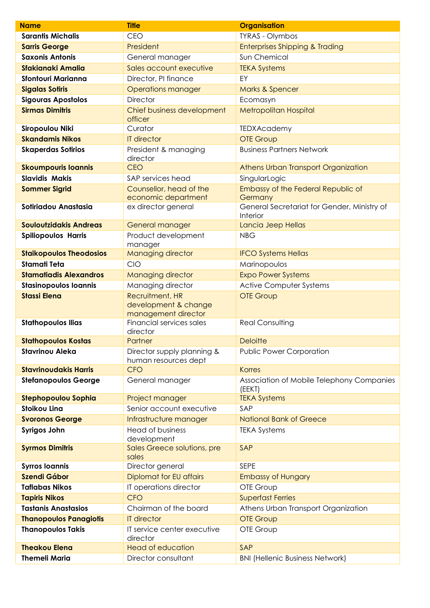| <b>Name</b>                    | <b>Title</b>                                                   | <b>Organisation</b>                                     |
|--------------------------------|----------------------------------------------------------------|---------------------------------------------------------|
| <b>Sarantis Michalis</b>       | <b>CEO</b>                                                     | <b>TYRAS - Olymbos</b>                                  |
| <b>Sarris George</b>           | President                                                      | <b>Enterprises Shipping &amp; Trading</b>               |
| <b>Saxonis Antonis</b>         | General manager                                                | Sun Chemical                                            |
| <b>Sfakianaki Amalia</b>       | Sales account executive                                        | <b>TEKA Systems</b>                                     |
| <b>Sfontouri Marianna</b>      | Director, PI finance                                           | EY                                                      |
| <b>Sigalas Sotiris</b>         | <b>Operations manager</b>                                      | Marks & Spencer                                         |
| <b>Sigouras Apostolos</b>      | <b>Director</b>                                                | Ecomasyn                                                |
| <b>Sirmas Dimitris</b>         | Chief business development<br>officer                          | <b>Metropolitan Hospital</b>                            |
| Siropoulou Niki                | Curator                                                        | <b>TEDXAcademy</b>                                      |
| <b>Skandamis Nikos</b>         | <b>IT director</b>                                             | <b>OTE Group</b>                                        |
| <b>Skaperdas Sotirios</b>      | President & managing<br>director                               | <b>Business Partners Network</b>                        |
| <b>Skoumpouris loannis</b>     | <b>CEO</b>                                                     | Athens Urban Transport Organization                     |
| <b>Slavidis Makis</b>          | SAP services head                                              | SingularLogic                                           |
| <b>Sommer Sigrid</b>           | Counsellor, head of the<br>economic department                 | Embassy of the Federal Republic of<br>Germany           |
| Sotiriadou Anastasia           | ex director general                                            | General Secretariat for Gender, Ministry of<br>Interior |
| <b>Souloutzidakis Andreas</b>  | <b>General manager</b>                                         | Lancia Jeep Hellas                                      |
| <b>Spiliopoulos Harris</b>     | Product development<br>manager                                 | <b>NBG</b>                                              |
| <b>Staikopoulos Theodosios</b> | Managing director                                              | <b>IFCO Systems Hellas</b>                              |
| <b>Stamati Teta</b>            | CIO                                                            | Marinopoulos                                            |
| <b>Stamatiadis Alexandros</b>  | Managing director                                              | <b>Expo Power Systems</b>                               |
| <b>Stasinopoulos Ioannis</b>   | Managing director                                              | <b>Active Computer Systems</b>                          |
| <b>Stassi Elena</b>            | Recruitment, HR<br>development & change<br>management director | <b>OTE Group</b>                                        |
| <b>Stathopoulos Ilias</b>      | Financial services sales<br>director                           | <b>Real Consulting</b>                                  |
| <b>Stathopoulos Kostas</b>     | Partner                                                        | <b>Deloitte</b>                                         |
| <b>Stavrinou Aleka</b>         | Director supply planning &<br>human resources dept             | <b>Public Power Corporation</b>                         |
| <b>Stavrinoudakis Harris</b>   | <b>CFO</b>                                                     | <b>Korres</b>                                           |
| <b>Stefanopoulos George</b>    | General manager                                                | Association of Mobile Telephony Companies<br>(EEKT)     |
| Stephopoulou Sophia            | Project manager                                                | <b>TEKA Systems</b>                                     |
| <b>Stoikou Lina</b>            | Senior account executive                                       | SAP                                                     |
| <b>Svoronos George</b>         | Infrastructure manager                                         | <b>National Bank of Greece</b>                          |
| <b>Syrigos John</b>            | <b>Head of business</b><br>development                         | <b>TEKA Systems</b>                                     |
| <b>Syrmos Dimitris</b>         | Sales Greece solutions, pre<br>sales                           | SAP                                                     |
| <b>Syrros loannis</b>          | Director general                                               | SEPE                                                    |
| <b>Szendi Gábor</b>            | Diplomat for EU affairs                                        | <b>Embassy of Hungary</b>                               |
| <b>Taflabas Nikos</b>          | IT operations director                                         | OTE Group                                               |
| <b>Tapiris Nikos</b>           | <b>CFO</b>                                                     | <b>Superfast Ferries</b>                                |
| <b>Tastanis Anastasios</b>     | Chairman of the board                                          | Athens Urban Transport Organization                     |
| <b>Thanopoulos Panagiotis</b>  | <b>IT director</b>                                             | <b>OTE Group</b>                                        |
| <b>Thanopoulos Takis</b>       | IT service center executive<br>director                        | OTE Group                                               |
| <b>Theakou Elena</b>           | <b>Head of education</b>                                       | SAP                                                     |
| <b>Themeli Maria</b>           | Director consultant                                            | <b>BNI (Hellenic Business Network)</b>                  |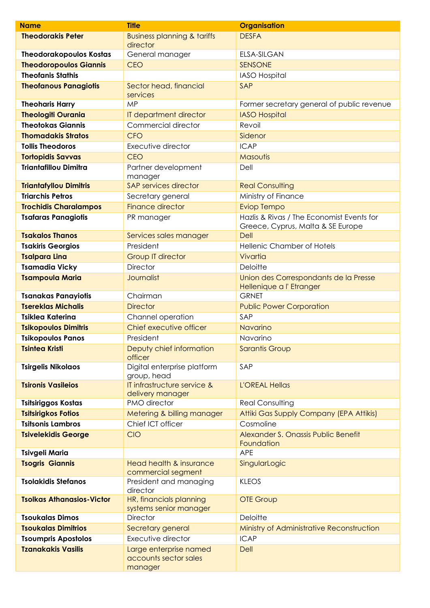| <b>Name</b>                      | <b>Title</b>                                               | <b>Organisation</b>                                                            |
|----------------------------------|------------------------------------------------------------|--------------------------------------------------------------------------------|
| <b>Theodorakis Peter</b>         | <b>Business planning &amp; tariffs</b><br>director         | <b>DESFA</b>                                                                   |
| <b>Theodorakopoulos Kostas</b>   | General manager                                            | <b>ELSA-SILGAN</b>                                                             |
| <b>Theodoropoulos Giannis</b>    | <b>CEO</b>                                                 | <b>SENSONE</b>                                                                 |
| <b>Theofanis Stathis</b>         |                                                            | <b>IASO Hospital</b>                                                           |
| <b>Theofanous Panagiotis</b>     | Sector head, financial<br>services                         | SAP                                                                            |
| <b>Theoharis Harry</b>           | <b>MP</b>                                                  | Former secretary general of public revenue                                     |
| <b>Theologiti Ourania</b>        | IT department director                                     | <b>IASO Hospital</b>                                                           |
| <b>Theotokas Giannis</b>         | Commercial director                                        | Revoil                                                                         |
| <b>Thomadakis Stratos</b>        | <b>CFO</b>                                                 | Sidenor                                                                        |
| <b>Tollis Theodoros</b>          | Executive director                                         | <b>ICAP</b>                                                                    |
| <b>Tortopidis Savvas</b>         | <b>CEO</b>                                                 | Masoutis                                                                       |
| <b>Triantafillou Dimitra</b>     | Partner development<br>manager                             | Dell                                                                           |
| <b>Triantafyllou Dimitris</b>    | <b>SAP services director</b>                               | <b>Real Consulting</b>                                                         |
| <b>Triarchis Petros</b>          | Secretary general                                          | Ministry of Finance                                                            |
| <b>Trochidis Charalampos</b>     | <b>Finance director</b>                                    | <b>Eviop Tempo</b>                                                             |
| <b>Tsafaras Panagiotis</b>       | PR manager                                                 | Hazlis & Rivas / The Economist Events for<br>Greece, Cyprus, Malta & SE Europe |
| <b>Tsakalos Thanos</b>           | Services sales manager                                     | <b>Dell</b>                                                                    |
| <b>Tsakiris Georgios</b>         | President                                                  | Hellenic Chamber of Hotels                                                     |
| <b>Tsalpara Lina</b>             | <b>Group IT director</b>                                   | Vivartia                                                                       |
| <b>Tsamadia Vicky</b>            | <b>Director</b>                                            | Deloitte                                                                       |
| <b>Tsampoula Maria</b>           | Journalist                                                 | Union des Correspondants de la Presse<br>Hellenique a l'Etranger               |
| <b>Tsanakas Panayiotis</b>       | Chairman                                                   | <b>GRNET</b>                                                                   |
| <b>Tsereklas Michalis</b>        | <b>Director</b>                                            | <b>Public Power Corporation</b>                                                |
| <b>Tsiklea Katerina</b>          | Channel operation                                          | SAP                                                                            |
| <b>Tsikopoulos Dimitris</b>      | Chief executive officer                                    | Navarino                                                                       |
| <b>Tsikopoulos Panos</b>         | President                                                  | Navarino                                                                       |
| <b>Tsintea Kristi</b>            | Deputy chief information<br>officer                        | <b>Sarantis Group</b>                                                          |
| <b>Tsirgelis Nikolaos</b>        | Digital enterprise platform<br>group, head                 | SAP                                                                            |
| <b>Tsironis Vasileios</b>        | IT infrastructure service &<br>delivery manager            | <b>L'OREAL Hellas</b>                                                          |
| <b>Tsitsiriggos Kostas</b>       | PMO director                                               | <b>Real Consulting</b>                                                         |
| <b>Tsitsirigkos Fotios</b>       | Metering & billing manager                                 | Attiki Gas Supply Company (EPA Attikis)                                        |
| <b>Tsitsonis Lambros</b>         | Chief ICT officer                                          | Cosmoline                                                                      |
| <b>Tsivelekidis George</b>       | <b>CIO</b>                                                 | Alexander S. Onassis Public Benefit<br>Foundation                              |
| <b>Tsivgeli Maria</b>            |                                                            | <b>APE</b>                                                                     |
| <b>Tsogris Giannis</b>           | Head health & insurance<br>commercial segment              | SingularLogic                                                                  |
| <b>Tsolakidis Stefanos</b>       | President and managing<br>director                         | <b>KLEOS</b>                                                                   |
| <b>Tsolkas Athanasios-Victor</b> | HR, financials planning<br>systems senior manager          | <b>OTE Group</b>                                                               |
| <b>Tsoukalas Dimos</b>           | <b>Director</b>                                            | Deloitte                                                                       |
| <b>Tsoukalas Dimitrios</b>       | Secretary general                                          | Ministry of Administrative Reconstruction                                      |
| <b>Tsoumpris Apostolos</b>       | Executive director                                         | <b>ICAP</b>                                                                    |
| <b>Tzanakakis Vasilis</b>        | Large enterprise named<br>accounts sector sales<br>manager | Dell                                                                           |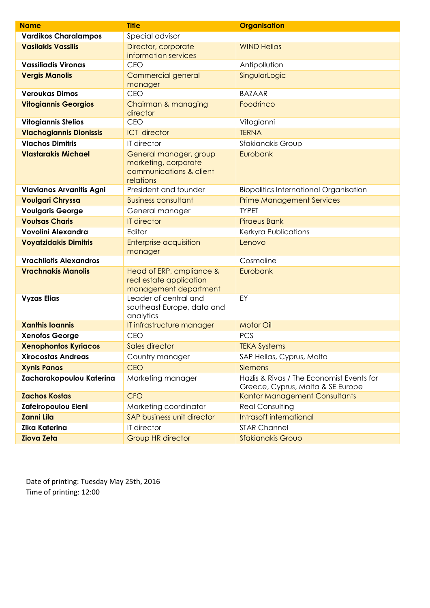| <b>Name</b>                     | <b>Title</b>                                                                           | <b>Organisation</b>                                                            |
|---------------------------------|----------------------------------------------------------------------------------------|--------------------------------------------------------------------------------|
| <b>Vardikos Charalampos</b>     | Special advisor                                                                        |                                                                                |
| <b>Vasilakis Vassilis</b>       | Director, corporate<br>information services                                            | <b>WIND Hellas</b>                                                             |
| <b>Vassiliadis Vironas</b>      | CEO                                                                                    | Antipollution                                                                  |
| <b>Vergis Manolis</b>           | Commercial general<br>manager                                                          | SingularLogic                                                                  |
| <b>Veroukas Dimos</b>           | <b>CEO</b>                                                                             | <b>BAZAAR</b>                                                                  |
| <b>Vitogiannis Georgios</b>     | Chairman & managing<br>director                                                        | Foodrinco                                                                      |
| <b>Vitogiannis Stelios</b>      | <b>CEO</b>                                                                             | Vitogianni                                                                     |
| <b>Vlachogiannis Dionissis</b>  | <b>ICT</b> director                                                                    | <b>TERNA</b>                                                                   |
| <b>Vlachos Dimitris</b>         | IT director                                                                            | Sfakianakis Group                                                              |
| <b>Vlastarakis Michael</b>      | General manager, group<br>marketing, corporate<br>communications & client<br>relations | Eurobank                                                                       |
| <b>Vlavianos Arvanitis Agni</b> | President and founder                                                                  | <b>Biopolitics International Organisation</b>                                  |
| <b>Voulgari Chryssa</b>         | <b>Business consultant</b>                                                             | <b>Prime Management Services</b>                                               |
| <b>Voulgaris George</b>         | General manager                                                                        | <b>TYPET</b>                                                                   |
| <b>Voutsas Charis</b>           | <b>IT director</b>                                                                     | <b>Piraeus Bank</b>                                                            |
| Vovolini Alexandra              | Editor                                                                                 | Kerkyra Publications                                                           |
| <b>Voyatzidakis Dimitris</b>    | <b>Enterprise acquisition</b><br>manager                                               | Lenovo                                                                         |
| <b>Vrachliotis Alexandros</b>   |                                                                                        | Cosmoline                                                                      |
| <b>Vrachnakis Manolis</b>       | Head of ERP, cmpliance &<br>real estate application<br>management department           | Eurobank                                                                       |
| <b>Vyzas Elias</b>              | Leader of central and<br>southeast Europe, data and<br>analytics                       | EY                                                                             |
| <b>Xanthis Ioannis</b>          | IT infrastructure manager                                                              | <b>Motor Oil</b>                                                               |
| <b>Xenofos George</b>           | <b>CEO</b>                                                                             | <b>PCS</b>                                                                     |
| <b>Xenophontos Kyriacos</b>     | Sales director                                                                         | <b>TEKA Systems</b>                                                            |
| <b>Xirocostas Andreas</b>       | Country manager                                                                        | SAP Hellas, Cyprus, Malta                                                      |
| <b>Xynis Panos</b>              | <b>CEO</b>                                                                             | <b>Siemens</b>                                                                 |
| Zacharakopoulou Katerina        | Marketing manager                                                                      | Hazlis & Rivas / The Economist Events for<br>Greece, Cyprus, Malta & SE Europe |
| <b>Zachos Kostas</b>            | <b>CFO</b>                                                                             | Kantor Management Consultants                                                  |
| Zafeiropoulou Eleni             | Marketing coordinator                                                                  | <b>Real Consulting</b>                                                         |
| <b>Zanni Lila</b>               | SAP business unit director                                                             | Intrasoft international                                                        |
| <b>Zika Katerina</b>            | IT director                                                                            | <b>STAR Channel</b>                                                            |
| <b>Ziova Zeta</b>               | <b>Group HR director</b>                                                               | <b>Sfakianakis Group</b>                                                       |

Date of printing: Tuesday May 25th, 2016 Time of printing: 12:00